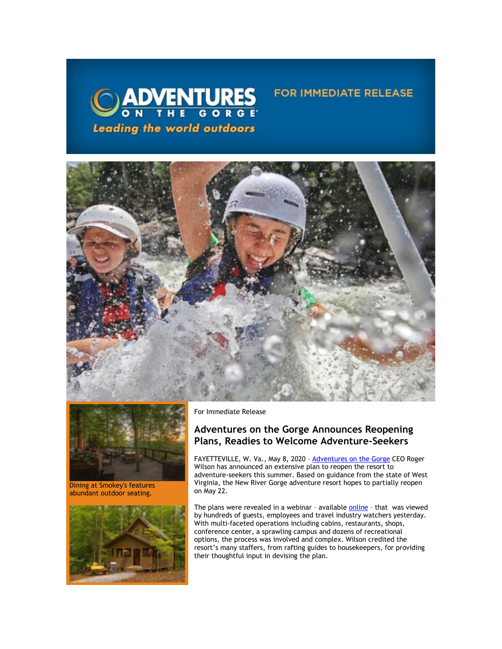



Dining at Smokey's features abundant outdoor seating.



For Immediate Release

# **Adventures on the Gorge Announces Reopening Plans, Readies to Welcome Adventure-Seekers**

**FOR IMMEDIATE RELEASE** 

FAYETTEVILLE, W. Va., May 8, 2020 – [Adventures on the Gorge](https://click.icptrack.com/icp/relay.php?r=13440961&msgid=453309&act=3SPQ&c=1378153&destination=http%3A%2F%2Fwww.adventuresonthegorge.com%2F&cf=13608&v=5a6d29c5bd89500c6946838c97b8849561ebbd48dbb2fdae9fe0068cb3f8e60e) CEO Roger Wilson has announced an extensive plan to reopen the resort to adventure-seekers this summer. Based on guidance from the state of West Virginia, the New River Gorge adventure resort hopes to partially reopen on May 22.

The plans were revealed in a webinar - availabl[e online](https://click.icptrack.com/icp/relay.php?r=13440961&msgid=453309&act=3SPQ&c=1378153&destination=https%3A%2F%2Fadventuresonthegorge.com%2Fwebinar%2F&cf=13608&v=0e256f2f09d819a61663a3ae02d7066dc4ae97c0dedcefbb946cbc909829e0ff) - that was viewed by hundreds of guests, employees and travel industry watchers yesterday. With multi-faceted operations including cabins, restaurants, shops, conference center, a sprawling campus and dozens of recreational options, the process was involved and complex. Wilson credited the resort's many staffers, from rafting guides to housekeepers, for providing their thoughtful input in devising the plan.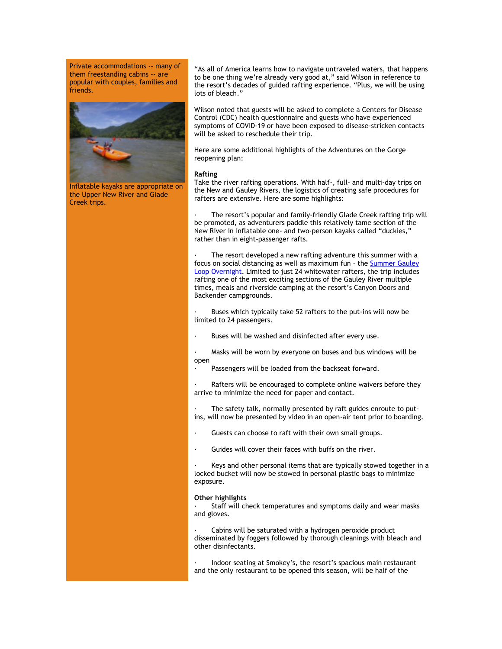Private accommodations -- many of them freestanding cabins -- are popular with couples, families and friends.



Inflatable kayaks are appropriate on the Upper New River and Glade Creek trips.

"As all of America learns how to navigate untraveled waters, that happens to be one thing we're already very good at," said Wilson in reference to the resort's decades of guided rafting experience. "Plus, we will be using lots of bleach."

Wilson noted that guests will be asked to complete a Centers for Disease Control (CDC) health questionnaire and guests who have experienced symptoms of COVID-19 or have been exposed to disease-stricken contacts will be asked to reschedule their trip.

Here are some additional highlights of the Adventures on the Gorge reopening plan:

### **Rafting**

Take the river rafting operations. With half-, full- and multi-day trips on the New and Gauley Rivers, the logistics of creating safe procedures for rafters are extensive. Here are some highlights:

The resort's popular and family-friendly Glade Creek rafting trip will be promoted, as adventurers paddle this relatively tame section of the New River in inflatable one- and two-person kayaks called "duckies," rather than in eight-passenger rafts.

The resort developed a new rafting adventure this summer with a focus on social distancing as well as maximum fun – th[e Summer Gauley](https://click.icptrack.com/icp/relay.php?r=13440961&msgid=453309&act=3SPQ&c=1378153&destination=https%3A%2F%2Fadventuresonthegorge.com%2Fadventures%2Fwhitewater-rafting%2Fsummer-gauley-loop-overnight%2F&cf=13608&v=4850d45587df31612fc20496dd2cce90cea3787d6dbc23d49d242d845627523b)  [Loop Overnight.](https://click.icptrack.com/icp/relay.php?r=13440961&msgid=453309&act=3SPQ&c=1378153&destination=https%3A%2F%2Fadventuresonthegorge.com%2Fadventures%2Fwhitewater-rafting%2Fsummer-gauley-loop-overnight%2F&cf=13608&v=4850d45587df31612fc20496dd2cce90cea3787d6dbc23d49d242d845627523b) Limited to just 24 whitewater rafters, the trip includes rafting one of the most exciting sections of the Gauley River multiple times, meals and riverside camping at the resort's Canyon Doors and Backender campgrounds.

Buses which typically take 52 rafters to the put-ins will now be limited to 24 passengers.

Buses will be washed and disinfected after every use.

Masks will be worn by everyone on buses and bus windows will be open

Passengers will be loaded from the backseat forward.

Rafters will be encouraged to complete online waivers before they arrive to minimize the need for paper and contact.

The safety talk, normally presented by raft guides enroute to putins, will now be presented by video in an open-air tent prior to boarding.

- Guests can choose to raft with their own small groups.
- · Guides will cover their faces with buffs on the river.

Keys and other personal items that are typically stowed together in a locked bucket will now be stowed in personal plastic bags to minimize exposure.

## **Other highlights**

Staff will check temperatures and symptoms daily and wear masks and gloves.

Cabins will be saturated with a hydrogen peroxide product disseminated by foggers followed by thorough cleanings with bleach and other disinfectants.

· Indoor seating at Smokey's, the resort's spacious main restaurant and the only restaurant to be opened this season, will be half of the